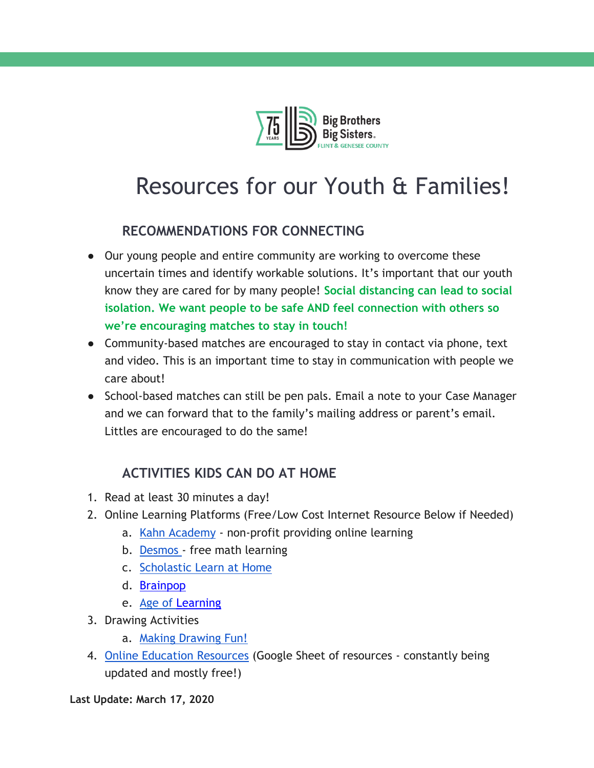

# Resources for our Youth & Families!

# **RECOMMENDATIONS FOR CONNECTING**

- Our young people and entire community are working to overcome these uncertain times and identify workable solutions. It's important that our youth know they are cared for by many people! **Social distancing can lead to social isolation. We want people to be safe AND feel connection with others so we're encouraging matches to stay in touch!**
- Community-based matches are encouraged to stay in contact via phone, text and video. This is an important time to stay in communication with people we care about!
- School-based matches can still be pen pals. Email a note to your Case Manager and we can forward that to the family's mailing address or parent's email. Littles are encouraged to do the same!

## **ACTIVITIES KIDS CAN DO AT HOME**

- 1. Read at least 30 minutes a day!
- 2. Online Learning Platforms (Free/Low Cost Internet Resource Below if Needed)
	- a. [Kahn](https://www.khanacademy.org/) [Academy](https://www.khanacademy.org/) non-profit providing online learning
	- b. [Desmos -](https://www.desmos.com/) free math learning
	- c. [Scholastic Learn at Home](https://classroommagazines.scholastic.com/support/learnathome.html?fbclid=IwAR1O_GZEW5UkpfL8JHp9mESpHedfuMpKGBDK0nDbQfAC0MnZIOZ2BMPaoz8)
	- d. [Brainpop](https://www.brainpop.com/)
	- e. Age of [Learning](https://www.ageoflearning.com/schools.html)
- 3. Drawing Activities
	- a. [Making Drawing Fun!](https://www.carlasonheim.com/product-category/classes/free-classes/?mc_cid=f3ba23937a&mc_eid=6a1b0bcd65&fbclid=IwAR3Woib4_WCbRI0op8LxHrrw8N9uBcmuyD0g7nP6aG6uCY9WLkIE2HCviqw)
- 4. [Online Education Resources](https://docs.google.com/spreadsheets/d/1NUKLZN7hGSu1Hzm70kfzBKs-lsSELaEMggS60Bi2O2I/htmlview?usp=sharing&fbclid=IwAR1j-rnEsoi-zSxC8RKgJ84JI8I73ChDJ0S2DCXaeCDwHn2DDyrHXb-fAWU&sle=true&pru=AAABcPWUAU4*onWBZYMdK7zYzt_zvp8UiA) (Google Sheet of resources constantly being updated and mostly free!)

**Last Update: March 17, 2020**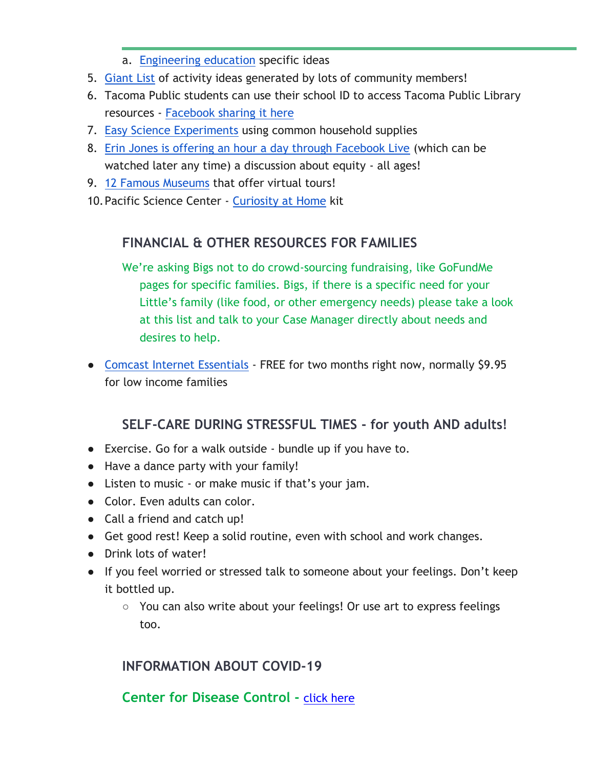- a. [Engineering education](https://docs.google.com/document/d/1oCM2Ue9w32EUIGfRXsjwEXU_-Up8D6FSSWT8YGiBEtE/preview?fbclid=IwAR1qF7bddPoXlkoRMNUXtMPVcQQfnzuGkv_vdcUO8rqmTh8jgXPdD0XS3XI) specific ideas
- 5. [Giant List](https://docs.google.com/document/d/1o6kEgCKLn3cyIm2hehhhSTIk7yRTd0C3zx49JS4wwCI/preview?fbclid=IwAR1XMoBgbLqB0W4QHpKyeFCy126BcexwYoQpZ3KC89FARksm3iEZgCQc1so) of activity ideas generated by lots of community members!
- 6. Tacoma Public students can use their school ID to access Tacoma Public Library resources - [Facebook sharing it here](https://www.facebook.com/TacomaPublicLibrary/photos/a.100538369170/10158255515399171/?type=3&theater)
- 7. [Easy Science Experiments](https://mommypoppins.com/kids/50-easy-science-experiments-for-kids-fun-educational-activities-using-household-stuff) using common household supplies
- 8. [Erin Jones is offering an hour a day through Facebook Live](https://www.facebook.com/erinjonesdreams/?__tn__=K-R&eid=ARDR4afQz8uVlGS6QWgUwGi3JTdmka21SvGTY1_CcRdC24TvuArSQZ6iNZWyftoXrFs62xO967Ew9otR&fref=mentions&__xts__%5B0%5D=68.ARDA03Enu7U2xXsyyZo-E1uMEeddA-YIpPD0GDxZ_nQpWLaP2v8EyaZ09ufsC3pR7TZKEade0kc04p3yYkA-R1REEmCRj38fPeC9uzJFDZz_8yQg7xVn3Nq9Afbv2OSCgR4eaTJlOYe-F3SuAJ2VMFnk5I6qKcSu4vQZzg-4eiKtfklKNL3BaRg-Tvt4UfaFhoV_0s4AowXk0FmGTtgmRZ02wCMBpCa7WOAnXu-3cOlkCpo6cL5T-1WxfRwWq6zQC8HCHu3wpCLUk555XGOHiihtHi_-hvMCcGo4oATqtBbcL8TUPnIlza70pws6_370k-mpSSE2OjbuZ73cZ36egGdJkw) (which can be watched later any time) a discussion about equity - all ages!
- 9. [12 Famous Museums](https://www.travelandleisure.com/attractions/museums-galleries/museums-with-virtual-tours?fbclid=IwAR2FsurdODFaqxtXnh_6yCsICouHOlQDHiBgrpz5eT4E0Bs4A-9GuuMqxuE) that offer virtual tours!
- 10.Pacific Science Center [Curiosity at Home](https://www.pacificsciencecenter.org/events-programs/curiosity-at-home/?utm_source=curiosity-at-home_03162020&utm_medium=email&utm_campaign=curiosity-at-home&utm_content=curiosity-at-home-link) kit

### **FINANCIAL & OTHER RESOURCES FOR FAMILIES**

We're asking Bigs not to do crowd-sourcing fundraising, like GoFundMe pages for specific families. Bigs, if there is a specific need for your Little's family (like food, or other emergency needs) please take a look at this list and talk to your Case Manager directly about needs and desires to help.

● [Comcast Internet Essentials](https://www.internetessentials.com/) - FREE for two months right now, normally \$9.95 for low income families

#### **SELF-CARE DURING STRESSFUL TIMES - for youth AND adults!**

- Exercise. Go for a walk outside bundle up if you have to.
- Have a dance party with your family!
- Listen to music or make music if that's your jam.
- Color. Even adults can color.
- Call a friend and catch up!
- Get good rest! Keep a solid routine, even with school and work changes.
- Drink lots of water!
- If you feel worried or stressed talk to someone about your feelings. Don't keep it bottled up.
	- You can also write about your feelings! Or use art to express feelings too.

#### **INFORMATION ABOUT COVID-19**

#### **Center for Disease Control -** [click here](https://www.cdc.gov/coronavirus/2019-nCoV/index.html)